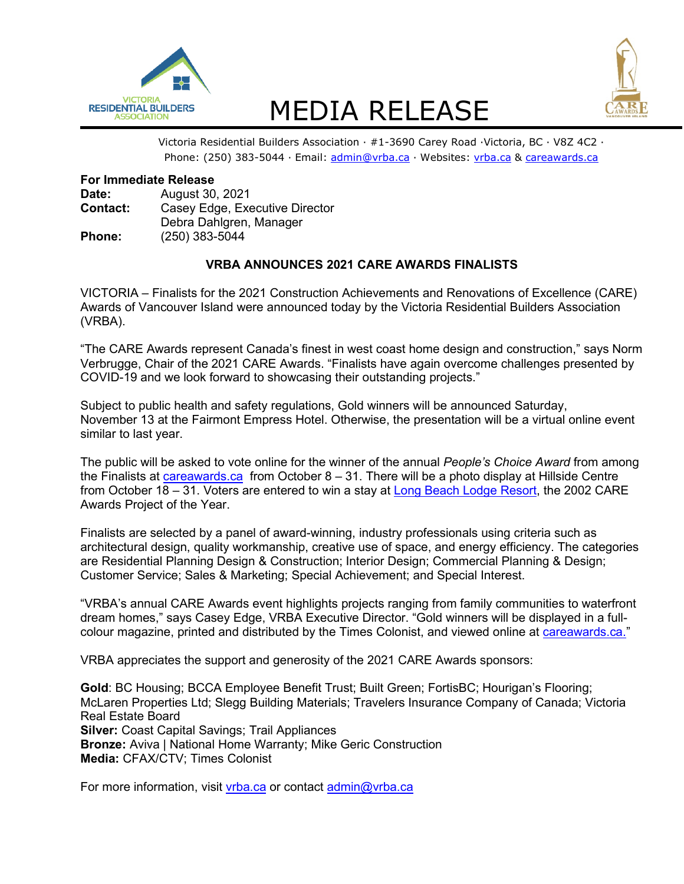

# RESIDENTIAL BUILDERS MEDIA RELEASE<br>Victoria Residential Builders Association · #1-3690 Carey Road ·Victoria, BC · V8Z 4C2 ·



Phone: (250) 383-5044 · Email: [admin@vrba.ca](mailto:admin@vrba.ca) · Websites: [vrba.ca](https://www.vrba.ca/) & [careawards.ca](https://www.careawards.ca/)

## **For Immediate Release**

| Date:         | August 30, 2021                |
|---------------|--------------------------------|
| Contact:      | Casey Edge, Executive Director |
|               | Debra Dahlgren, Manager        |
| <b>Phone:</b> | $(250)$ 383-5044               |

# **VRBA ANNOUNCES 2021 CARE AWARDS FINALISTS**

VICTORIA – Finalists for the 2021 Construction Achievements and Renovations of Excellence (CARE) Awards of Vancouver Island were announced today by the Victoria Residential Builders Association (VRBA).

"The CARE Awards represent Canada's finest in west coast home design and construction," says Norm Verbrugge, Chair of the 2021 CARE Awards. "Finalists have again overcome challenges presented by COVID-19 and we look forward to showcasing their outstanding projects."

Subject to public health and safety regulations, Gold winners will be announced Saturday, November 13 at the Fairmont Empress Hotel. Otherwise, the presentation will be a virtual online event similar to last year.

The public will be asked to vote online for the winner of the annual *People's Choice Award* from among the Finalists at [careawards.ca](http://www.careawards.ca/) from October 8 – 31. There will be a photo display at Hillside Centre from October 18 – 31. Voters are entered to win a stay at [Long Beach Lodge Resort,](http://www.longbeachlodgeresort.com/) the 2002 CARE Awards Project of the Year.

Finalists are selected by a panel of award-winning, industry professionals using criteria such as architectural design, quality workmanship, creative use of space, and energy efficiency. The categories are Residential Planning Design & Construction; Interior Design; Commercial Planning & Design; Customer Service; Sales & Marketing; Special Achievement; and Special Interest.

"VRBA's annual CARE Awards event highlights projects ranging from family communities to waterfront dream homes," says Casey Edge, VRBA Executive Director. "Gold winners will be displayed in a fullcolour magazine, printed and distributed by the Times Colonist, and viewed online at [careawards.ca.](https://www.careawards.ca/)"

VRBA appreciates the support and generosity of the 2021 CARE Awards sponsors:

**Gold: BC Housing; BCCA Employee Benefit Trust; Built Green; FortisBC; Hourigan's Flooring;** McLaren Properties Ltd; Slegg Building Materials; Travelers Insurance Company of Canada; Victoria Real Estate Board **Silver:** Coast Capital Savings; Trail Appliances **Bronze:** Aviva | National Home Warranty; Mike Geric Construction **Media:** CFAX/CTV; Times Colonist

For more information, visit [vrba.ca](https://www.vrba.ca/) or contact [admin@vrba.ca](mailto:admin@vrba.ca)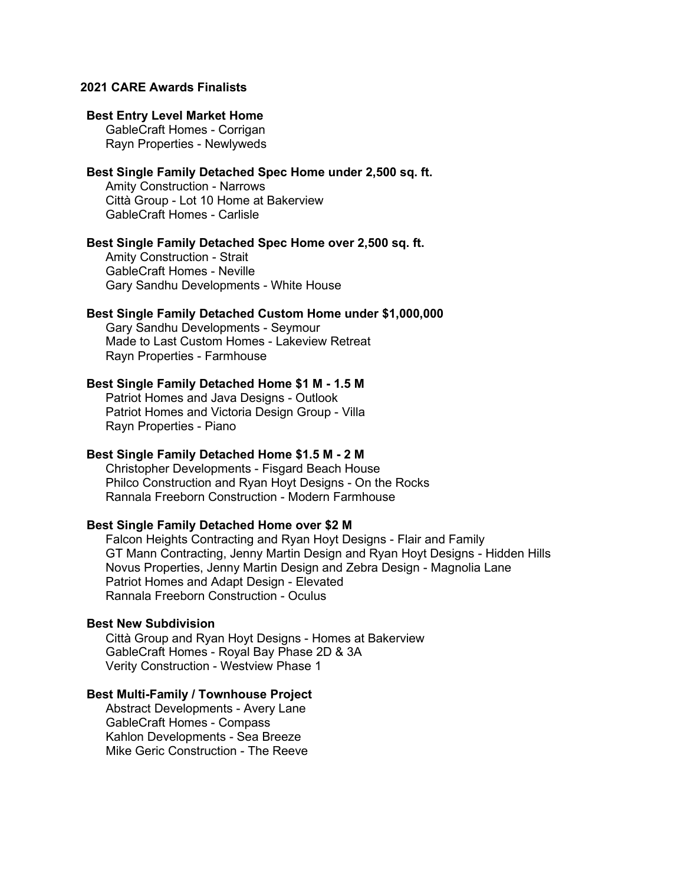# **2021 CARE Awards Finalists**

## **Best Entry Level Market Home**

GableCraft Homes - Corrigan Rayn Properties - Newlyweds

# **Best Single Family Detached Spec Home under 2,500 sq. ft.**

Amity Construction - Narrows Città Group - Lot 10 Home at Bakerview GableCraft Homes - Carlisle

## **Best Single Family Detached Spec Home over 2,500 sq. ft.**

Amity Construction - Strait GableCraft Homes - Neville Gary Sandhu Developments - White House

# **Best Single Family Detached Custom Home under \$1,000,000**

Gary Sandhu Developments - Seymour Made to Last Custom Homes - Lakeview Retreat Rayn Properties - Farmhouse

# **Best Single Family Detached Home \$1 M - 1.5 M**

Patriot Homes and Java Designs - Outlook Patriot Homes and Victoria Design Group - Villa Rayn Properties - Piano

### **Best Single Family Detached Home \$1.5 M - 2 M**

Christopher Developments - Fisgard Beach House Philco Construction and Ryan Hoyt Designs - On the Rocks Rannala Freeborn Construction - Modern Farmhouse

#### **Best Single Family Detached Home over \$2 M**

Falcon Heights Contracting and Ryan Hoyt Designs - Flair and Family GT Mann Contracting, Jenny Martin Design and Ryan Hoyt Designs - Hidden Hills Novus Properties, Jenny Martin Design and Zebra Design - Magnolia Lane Patriot Homes and Adapt Design - Elevated Rannala Freeborn Construction - Oculus

# **Best New Subdivision**

Città Group and Ryan Hoyt Designs - Homes at Bakerview GableCraft Homes - Royal Bay Phase 2D & 3A Verity Construction - Westview Phase 1

## **Best Multi-Family / Townhouse Project**

Abstract Developments - Avery Lane GableCraft Homes - Compass Kahlon Developments - Sea Breeze Mike Geric Construction - The Reeve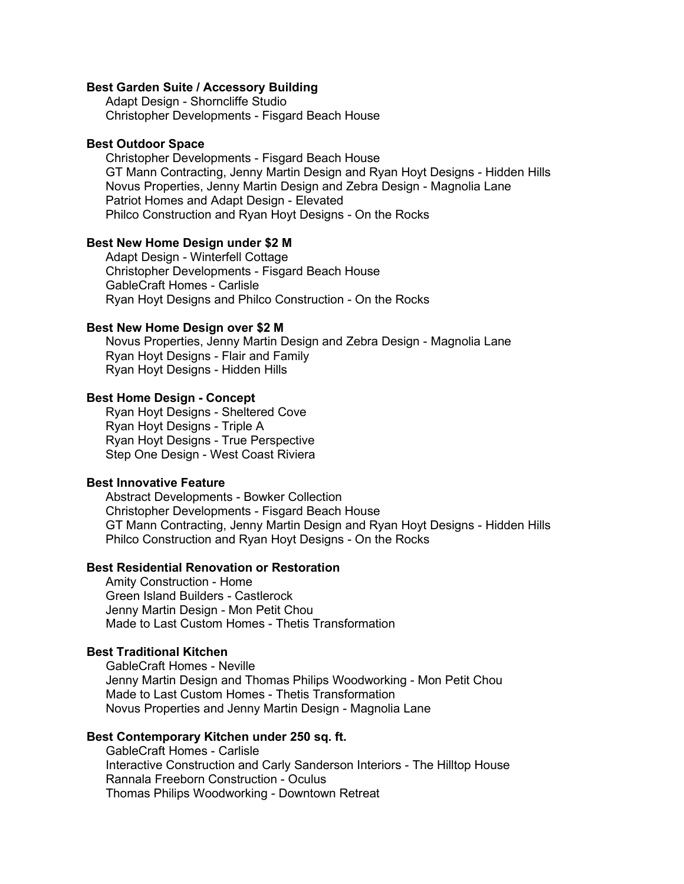#### **Best Garden Suite / Accessory Building**

Adapt Design - Shorncliffe Studio Christopher Developments - Fisgard Beach House

#### **Best Outdoor Space**

Christopher Developments - Fisgard Beach House GT Mann Contracting, Jenny Martin Design and Ryan Hoyt Designs - Hidden Hills Novus Properties, Jenny Martin Design and Zebra Design - Magnolia Lane Patriot Homes and Adapt Design - Elevated Philco Construction and Ryan Hoyt Designs - On the Rocks

## **Best New Home Design under \$2 M**

Adapt Design - Winterfell Cottage Christopher Developments - Fisgard Beach House GableCraft Homes - Carlisle Ryan Hoyt Designs and Philco Construction - On the Rocks

#### **Best New Home Design over \$2 M**

Novus Properties, Jenny Martin Design and Zebra Design - Magnolia Lane Ryan Hoyt Designs - Flair and Family Ryan Hoyt Designs - Hidden Hills

## **Best Home Design - Concept**

Ryan Hoyt Designs - Sheltered Cove Ryan Hoyt Designs - Triple A Ryan Hoyt Designs - True Perspective Step One Design - West Coast Riviera

## **Best Innovative Feature**

Abstract Developments - Bowker Collection Christopher Developments - Fisgard Beach House GT Mann Contracting, Jenny Martin Design and Ryan Hoyt Designs - Hidden Hills Philco Construction and Ryan Hoyt Designs - On the Rocks

## **Best Residential Renovation or Restoration**

Amity Construction - Home Green Island Builders - Castlerock Jenny Martin Design - Mon Petit Chou Made to Last Custom Homes - Thetis Transformation

## **Best Traditional Kitchen**

GableCraft Homes - Neville Jenny Martin Design and Thomas Philips Woodworking - Mon Petit Chou Made to Last Custom Homes - Thetis Transformation Novus Properties and Jenny Martin Design - Magnolia Lane

#### **Best Contemporary Kitchen under 250 sq. ft.**

GableCraft Homes - Carlisle Interactive Construction and Carly Sanderson Interiors - The Hilltop House Rannala Freeborn Construction - Oculus Thomas Philips Woodworking - Downtown Retreat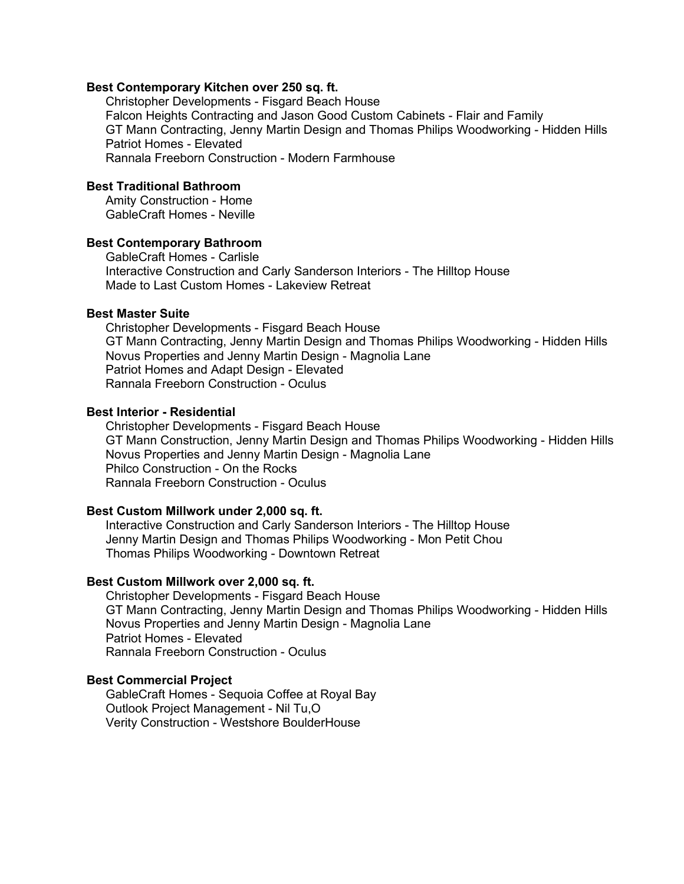#### **Best Contemporary Kitchen over 250 sq. ft.**

Christopher Developments - Fisgard Beach House Falcon Heights Contracting and Jason Good Custom Cabinets - Flair and Family GT Mann Contracting, Jenny Martin Design and Thomas Philips Woodworking - Hidden Hills Patriot Homes - Elevated Rannala Freeborn Construction - Modern Farmhouse

# **Best Traditional Bathroom**

Amity Construction - Home GableCraft Homes - Neville

# **Best Contemporary Bathroom**

GableCraft Homes - Carlisle Interactive Construction and Carly Sanderson Interiors - The Hilltop House Made to Last Custom Homes - Lakeview Retreat

#### **Best Master Suite**

Christopher Developments - Fisgard Beach House GT Mann Contracting, Jenny Martin Design and Thomas Philips Woodworking - Hidden Hills Novus Properties and Jenny Martin Design - Magnolia Lane Patriot Homes and Adapt Design - Elevated Rannala Freeborn Construction - Oculus

#### **Best Interior - Residential**

Christopher Developments - Fisgard Beach House GT Mann Construction, Jenny Martin Design and Thomas Philips Woodworking - Hidden Hills Novus Properties and Jenny Martin Design - Magnolia Lane Philco Construction - On the Rocks Rannala Freeborn Construction - Oculus

## **Best Custom Millwork under 2,000 sq. ft.**

Interactive Construction and Carly Sanderson Interiors - The Hilltop House Jenny Martin Design and Thomas Philips Woodworking - Mon Petit Chou Thomas Philips Woodworking - Downtown Retreat

## **Best Custom Millwork over 2,000 sq. ft.**

Christopher Developments - Fisgard Beach House GT Mann Contracting, Jenny Martin Design and Thomas Philips Woodworking - Hidden Hills Novus Properties and Jenny Martin Design - Magnolia Lane Patriot Homes - Elevated Rannala Freeborn Construction - Oculus

## **Best Commercial Project**

GableCraft Homes - Sequoia Coffee at Royal Bay Outlook Project Management - Nil Tu,O Verity Construction - Westshore BoulderHouse